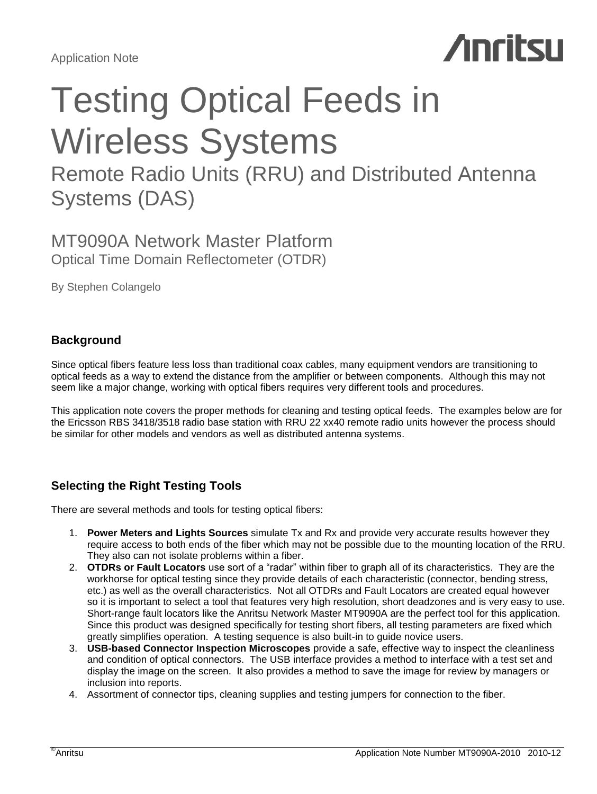

# Testing Optical Feeds in Wireless Systems

Remote Radio Units (RRU) and Distributed Antenna Systems (DAS)

# MT9090A Network Master Platform Optical Time Domain Reflectometer (OTDR)

By Stephen Colangelo

# **Background**

Since optical fibers feature less loss than traditional coax cables, many equipment vendors are transitioning to optical feeds as a way to extend the distance from the amplifier or between components. Although this may not seem like a major change, working with optical fibers requires very different tools and procedures.

This application note covers the proper methods for cleaning and testing optical feeds. The examples below are for the Ericsson RBS 3418/3518 radio base station with RRU 22 xx40 remote radio units however the process should be similar for other models and vendors as well as distributed antenna systems.

# **Selecting the Right Testing Tools**

There are several methods and tools for testing optical fibers:

- 1. **Power Meters and Lights Sources** simulate Tx and Rx and provide very accurate results however they require access to both ends of the fiber which may not be possible due to the mounting location of the RRU. They also can not isolate problems within a fiber.
- 2. **OTDRs or Fault Locators** use sort of a "radar" within fiber to graph all of its characteristics. They are the workhorse for optical testing since they provide details of each characteristic (connector, bending stress, etc.) as well as the overall characteristics. Not all OTDRs and Fault Locators are created equal however so it is important to select a tool that features very high resolution, short deadzones and is very easy to use. Short-range fault locators like the Anritsu Network Master MT9090A are the perfect tool for this application. Since this product was designed specifically for testing short fibers, all testing parameters are fixed which greatly simplifies operation. A testing sequence is also built-in to guide novice users.
- 3. **USB-based Connector Inspection Microscopes** provide a safe, effective way to inspect the cleanliness and condition of optical connectors. The USB interface provides a method to interface with a test set and display the image on the screen. It also provides a method to save the image for review by managers or inclusion into reports.
- 4. Assortment of connector tips, cleaning supplies and testing jumpers for connection to the fiber.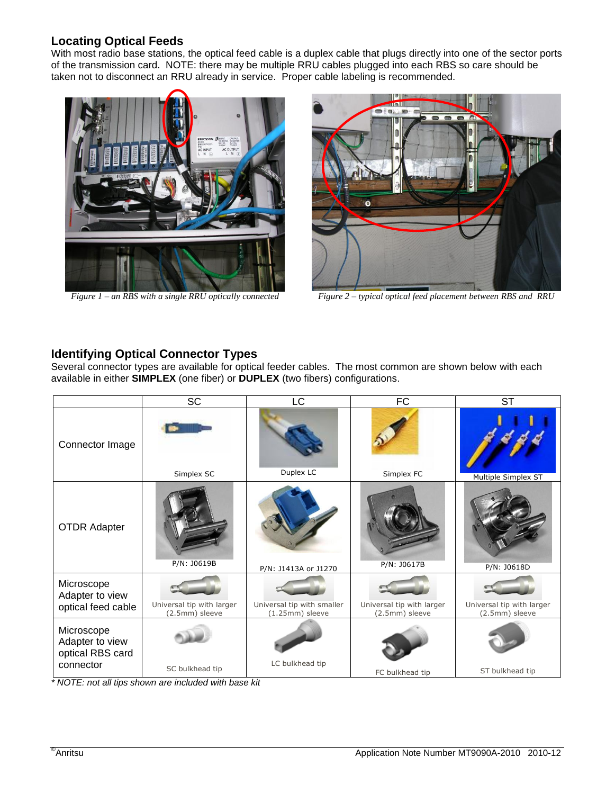# **Locating Optical Feeds**

With most radio base stations, the optical feed cable is a duplex cable that plugs directly into one of the sector ports of the transmission card. NOTE: there may be multiple RRU cables plugged into each RBS so care should be taken not to disconnect an RRU already in service. Proper cable labeling is recommended.





*Figure 1 – an RBS with a single RRU optically connected Figure 2 – typical optical feed placement between RBS and RRU*

# **Identifying Optical Connector Types**

Several connector types are available for optical feeder cables. The most common are shown below with each available in either **SIMPLEX** (one fiber) or **DUPLEX** (two fibers) configurations.

|                                                                | <b>SC</b>                                   | LC                                            | <b>FC</b>                                   | <b>ST</b>                                   |
|----------------------------------------------------------------|---------------------------------------------|-----------------------------------------------|---------------------------------------------|---------------------------------------------|
| Connector Image                                                | Simplex SC                                  | Duplex LC                                     | Simplex FC                                  | Multiple Simplex ST                         |
| <b>OTDR Adapter</b>                                            | P/N: J0619B                                 | P/N: J1413A or J1270                          | P/N: J0617B                                 | P/N: J0618D                                 |
| Microscope<br>Adapter to view<br>optical feed cable            | Universal tip with larger<br>(2.5mm) sleeve | Universal tip with smaller<br>(1.25mm) sleeve | Universal tip with larger<br>(2.5mm) sleeve | Universal tip with larger<br>(2.5mm) sleeve |
| Microscope<br>Adapter to view<br>optical RBS card<br>connector | SC bulkhead tip                             | LC bulkhead tip                               | FC bulkhead tip                             | ST bulkhead tip                             |

*\* NOTE: not all tips shown are included with base kit*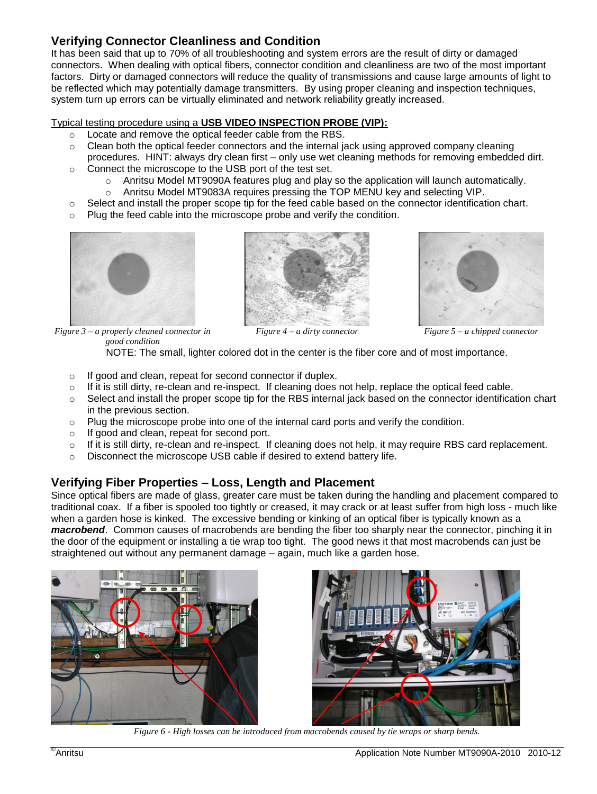# **Verifying Connector Cleanliness and Condition**

It has been said that up to 70% of all troubleshooting and system errors are the result of dirty or damaged connectors. When dealing with optical fibers, connector condition and cleanliness are two of the most important factors. Dirty or damaged connectors will reduce the quality of transmissions and cause large amounts of light to be reflected which may potentially damage transmitters. By using proper cleaning and inspection techniques, system turn up errors can be virtually eliminated and network reliability greatly increased.

# Typical testing procedure using a **USB VIDEO INSPECTION PROBE (VIP):**

- o Locate and remove the optical feeder cable from the RBS.
- $\circ$  Clean both the optical feeder connectors and the internal jack using approved company cleaning procedures. HINT: always dry clean first – only use wet cleaning methods for removing embedded dirt.
- o Connect the microscope to the USB port of the test set.
	- o Anritsu Model MT9090A features plug and play so the application will launch automatically.
	- o Anritsu Model MT9083A requires pressing the TOP MENU key and selecting VIP.
- $\circ$  Select and install the proper scope tip for the feed cable based on the connector identification chart.
- o Plug the feed cable into the microscope probe and verify the condition.







*Figure 4 – a dirty connector Figure 5 – a chipped connector*

*Figure 3 – a properly cleaned connector in good condition*

NOTE: The small, lighter colored dot in the center is the fiber core and of most importance.

- o If good and clean, repeat for second connector if duplex.
- $\circ$  If it is still dirty, re-clean and re-inspect. If cleaning does not help, replace the optical feed cable.
- o Select and install the proper scope tip for the RBS internal jack based on the connector identification chart in the previous section.
- $\circ$  Plug the microscope probe into one of the internal card ports and verify the condition.
- o If good and clean, repeat for second port.
- $\circ$  If it is still dirty, re-clean and re-inspect. If cleaning does not help, it may require RBS card replacement.
- o Disconnect the microscope USB cable if desired to extend battery life.

# **Verifying Fiber Properties – Loss, Length and Placement**

Since optical fibers are made of glass, greater care must be taken during the handling and placement compared to traditional coax. If a fiber is spooled too tightly or creased, it may crack or at least suffer from high loss - much like when a garden hose is kinked. The excessive bending or kinking of an optical fiber is typically known as a *macrobend*. Common causes of macrobends are bending the fiber too sharply near the connector, pinching it in the door of the equipment or installing a tie wrap too tight. The good news it that most macrobends can just be straightened out without any permanent damage – again, much like a garden hose.





*Figure 6 - High losses can be introduced from macrobends caused by tie wraps or sharp bends.*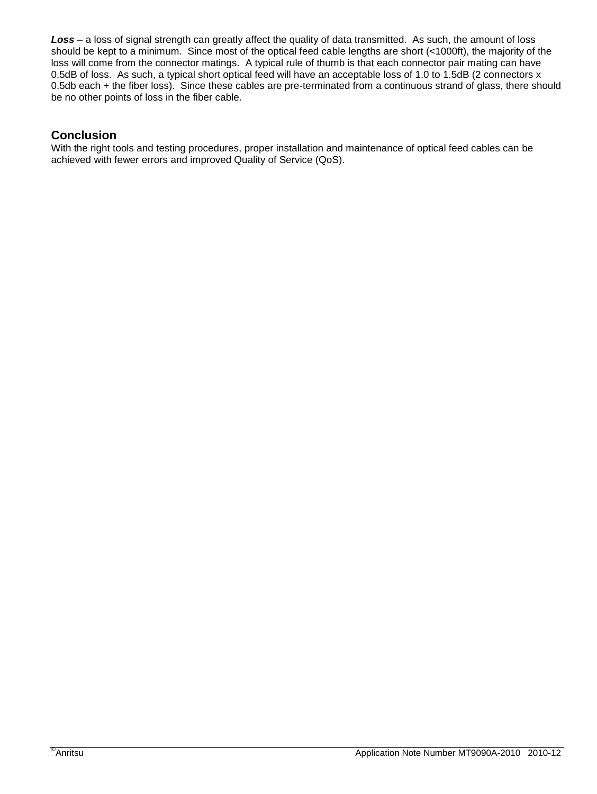*Loss* – a loss of signal strength can greatly affect the quality of data transmitted. As such, the amount of loss should be kept to a minimum. Since most of the optical feed cable lengths are short (<1000ft), the majority of the loss will come from the connector matings. A typical rule of thumb is that each connector pair mating can have 0.5dB of loss. As such, a typical short optical feed will have an acceptable loss of 1.0 to 1.5dB (2 connectors x 0.5db each + the fiber loss). Since these cables are pre-terminated from a continuous strand of glass, there should be no other points of loss in the fiber cable.

# **Conclusion**

With the right tools and testing procedures, proper installation and maintenance of optical feed cables can be achieved with fewer errors and improved Quality of Service (QoS).